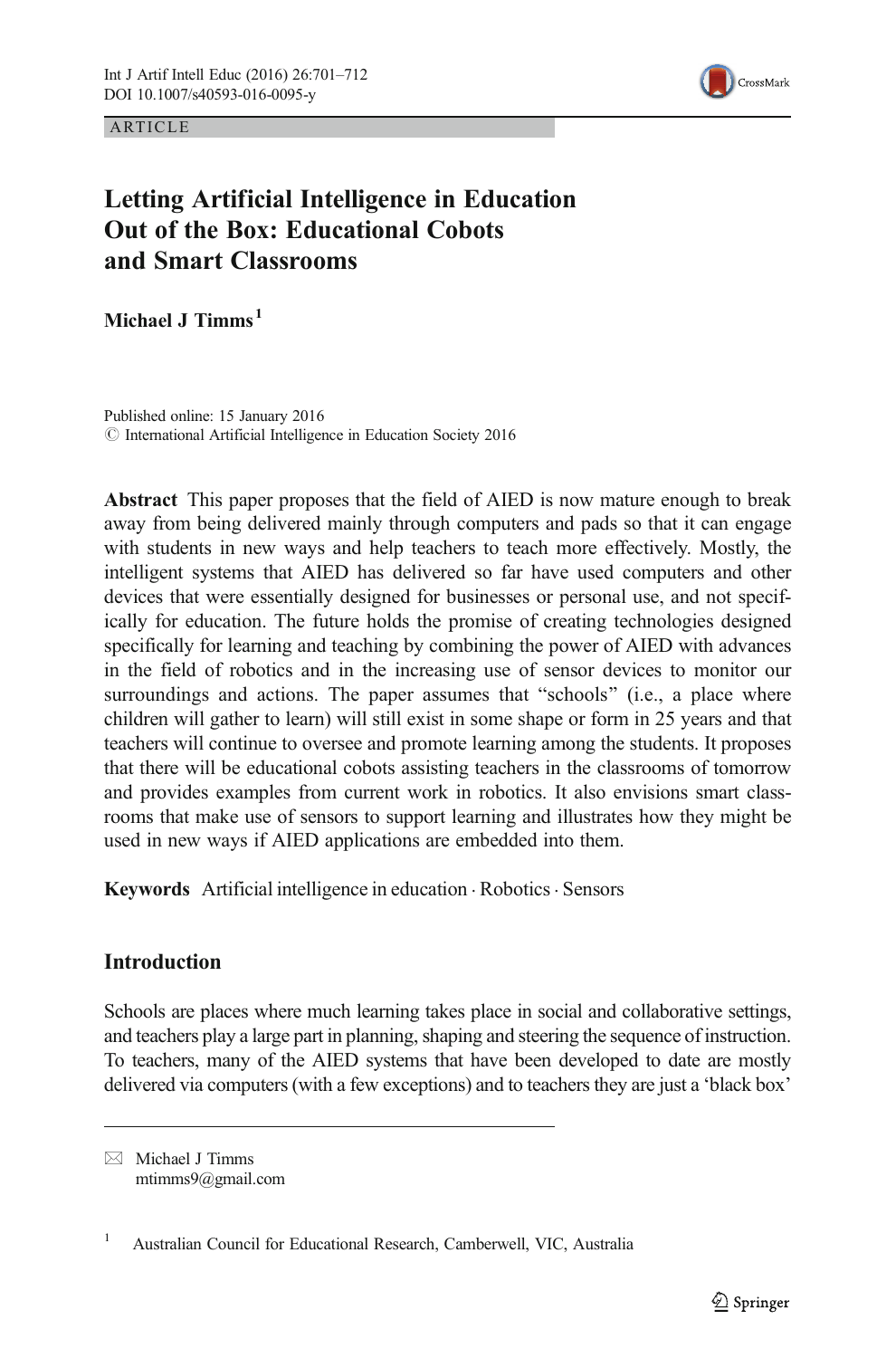ARTICLE



# Letting Artificial Intelligence in Education Out of the Box: Educational Cobots and Smart Classrooms

Michael J Timms $<sup>1</sup>$ </sup>

Published online: 15 January 2016 © International Artificial Intelligence in Education Society 2016

Abstract This paper proposes that the field of AIED is now mature enough to break away from being delivered mainly through computers and pads so that it can engage with students in new ways and help teachers to teach more effectively. Mostly, the intelligent systems that AIED has delivered so far have used computers and other devices that were essentially designed for businesses or personal use, and not specifically for education. The future holds the promise of creating technologies designed specifically for learning and teaching by combining the power of AIED with advances in the field of robotics and in the increasing use of sensor devices to monitor our surroundings and actions. The paper assumes that "schools" (i.e., a place where children will gather to learn) will still exist in some shape or form in 25 years and that teachers will continue to oversee and promote learning among the students. It proposes that there will be educational cobots assisting teachers in the classrooms of tomorrow and provides examples from current work in robotics. It also envisions smart classrooms that make use of sensors to support learning and illustrates how they might be used in new ways if AIED applications are embedded into them.

Keywords Artificial intelligence in education · Robotics · Sensors

## Introduction

Schools are places where much learning takes place in social and collaborative settings, and teachers play a large part in planning, shaping and steering the sequence of instruction. To teachers, many of the AIED systems that have been developed to date are mostly delivered via computers (with a few exceptions) and to teachers they are just a 'black box'

 $\boxtimes$  Michael J Timms mtimms9@gmail.com

<sup>&</sup>lt;sup>1</sup> Australian Council for Educational Research, Camberwell, VIC, Australia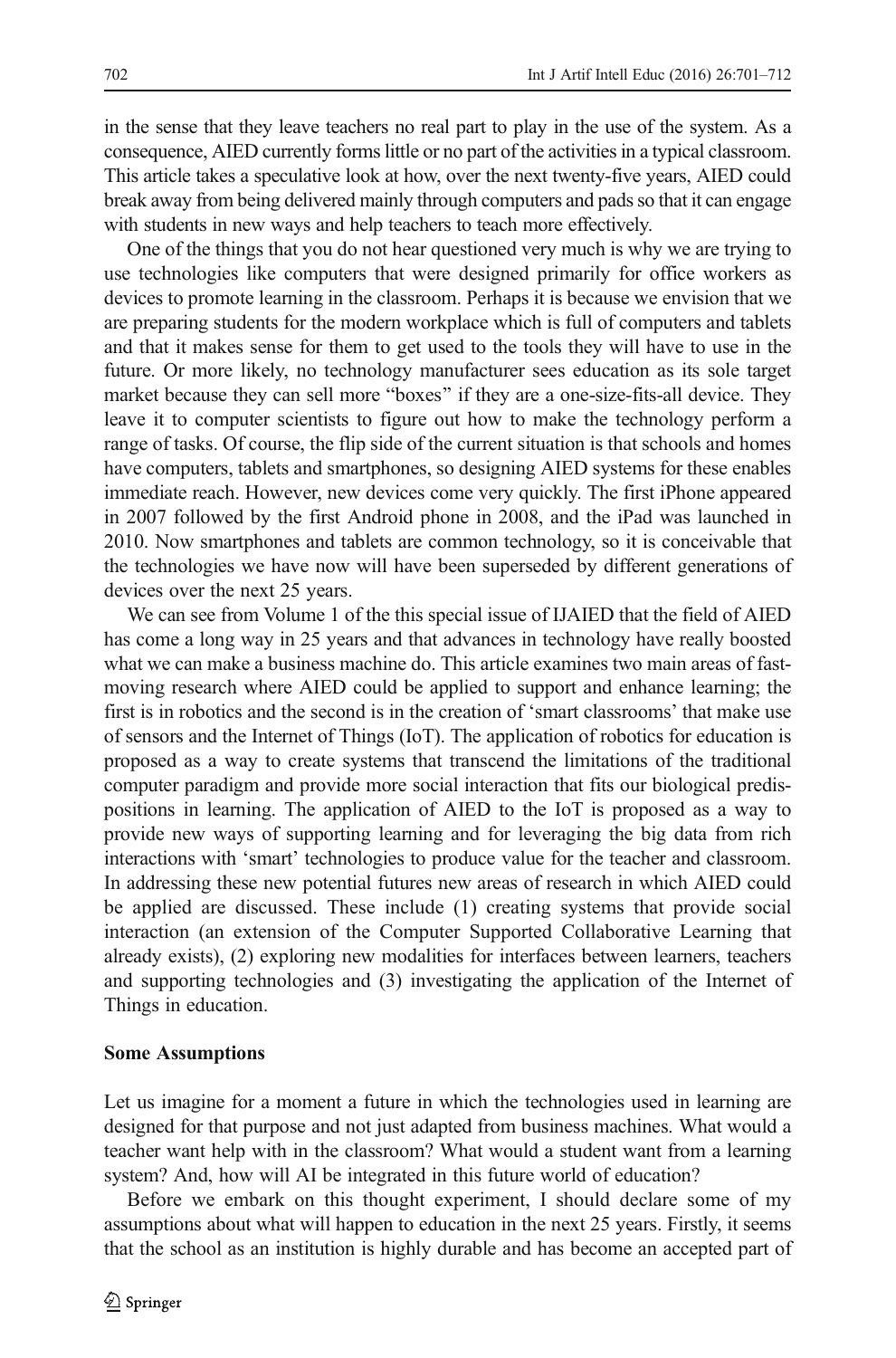in the sense that they leave teachers no real part to play in the use of the system. As a consequence, AIED currently forms little or no part of the activities in a typical classroom. This article takes a speculative look at how, over the next twenty-five years, AIED could break away from being delivered mainly through computers and pads so that it can engage with students in new ways and help teachers to teach more effectively.

One of the things that you do not hear questioned very much is why we are trying to use technologies like computers that were designed primarily for office workers as devices to promote learning in the classroom. Perhaps it is because we envision that we are preparing students for the modern workplace which is full of computers and tablets and that it makes sense for them to get used to the tools they will have to use in the future. Or more likely, no technology manufacturer sees education as its sole target market because they can sell more "boxes" if they are a one-size-fits-all device. They leave it to computer scientists to figure out how to make the technology perform a range of tasks. Of course, the flip side of the current situation is that schools and homes have computers, tablets and smartphones, so designing AIED systems for these enables immediate reach. However, new devices come very quickly. The first iPhone appeared in 2007 followed by the first Android phone in 2008, and the iPad was launched in 2010. Now smartphones and tablets are common technology, so it is conceivable that the technologies we have now will have been superseded by different generations of devices over the next 25 years.

We can see from Volume 1 of the this special issue of IJAIED that the field of AIED has come a long way in 25 years and that advances in technology have really boosted what we can make a business machine do. This article examines two main areas of fastmoving research where AIED could be applied to support and enhance learning; the first is in robotics and the second is in the creation of 'smart classrooms' that make use of sensors and the Internet of Things (IoT). The application of robotics for education is proposed as a way to create systems that transcend the limitations of the traditional computer paradigm and provide more social interaction that fits our biological predispositions in learning. The application of AIED to the IoT is proposed as a way to provide new ways of supporting learning and for leveraging the big data from rich interactions with 'smart' technologies to produce value for the teacher and classroom. In addressing these new potential futures new areas of research in which AIED could be applied are discussed. These include (1) creating systems that provide social interaction (an extension of the Computer Supported Collaborative Learning that already exists), (2) exploring new modalities for interfaces between learners, teachers and supporting technologies and (3) investigating the application of the Internet of Things in education.

#### Some Assumptions

Let us imagine for a moment a future in which the technologies used in learning are designed for that purpose and not just adapted from business machines. What would a teacher want help with in the classroom? What would a student want from a learning system? And, how will AI be integrated in this future world of education?

Before we embark on this thought experiment, I should declare some of my assumptions about what will happen to education in the next 25 years. Firstly, it seems that the school as an institution is highly durable and has become an accepted part of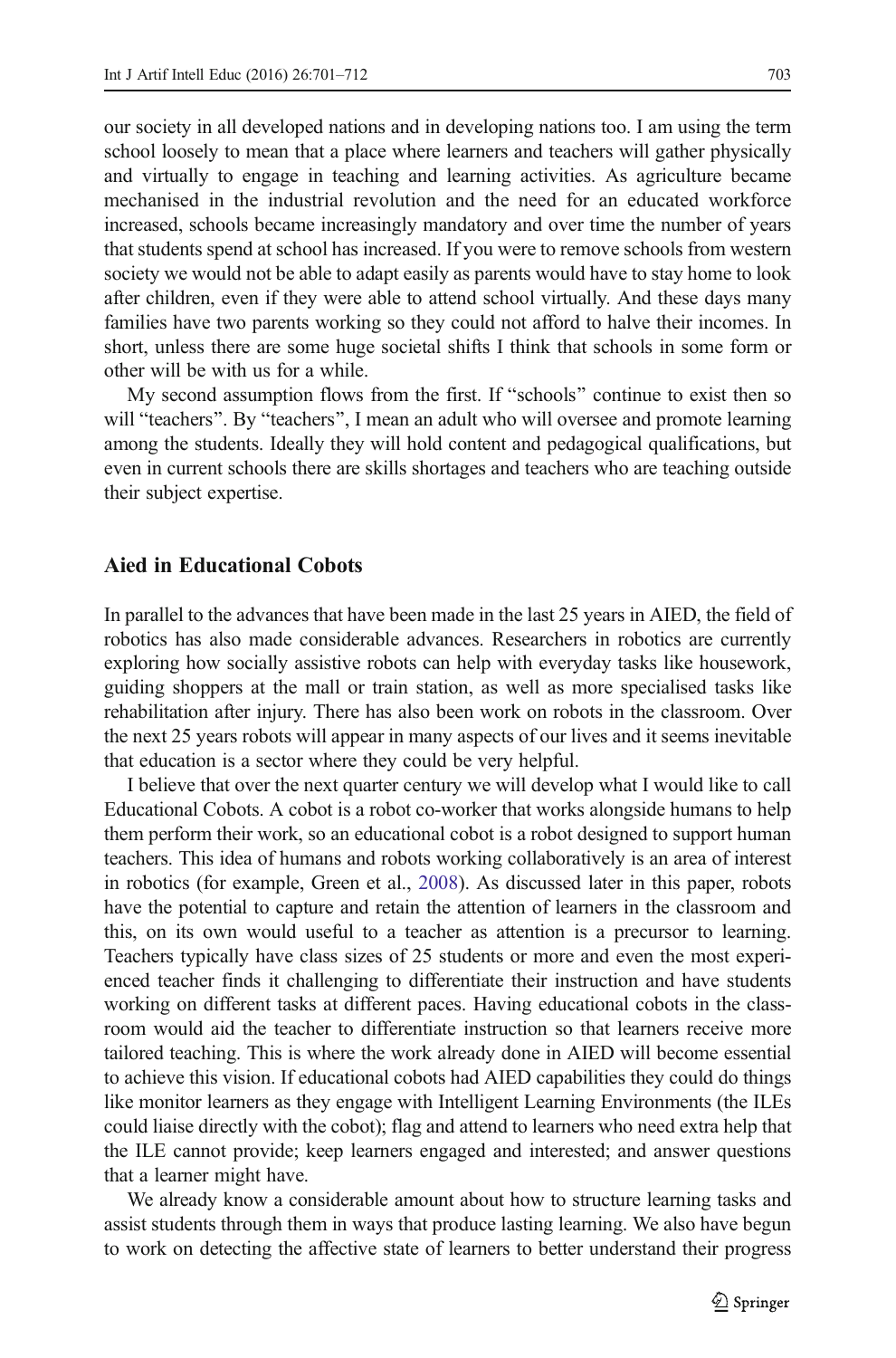our society in all developed nations and in developing nations too. I am using the term school loosely to mean that a place where learners and teachers will gather physically and virtually to engage in teaching and learning activities. As agriculture became mechanised in the industrial revolution and the need for an educated workforce increased, schools became increasingly mandatory and over time the number of years that students spend at school has increased. If you were to remove schools from western society we would not be able to adapt easily as parents would have to stay home to look after children, even if they were able to attend school virtually. And these days many families have two parents working so they could not afford to halve their incomes. In short, unless there are some huge societal shifts I think that schools in some form or other will be with us for a while.

My second assumption flows from the first. If "schools" continue to exist then so will "teachers". By "teachers", I mean an adult who will oversee and promote learning among the students. Ideally they will hold content and pedagogical qualifications, but even in current schools there are skills shortages and teachers who are teaching outside their subject expertise.

## Aied in Educational Cobots

In parallel to the advances that have been made in the last 25 years in AIED, the field of robotics has also made considerable advances. Researchers in robotics are currently exploring how socially assistive robots can help with everyday tasks like housework, guiding shoppers at the mall or train station, as well as more specialised tasks like rehabilitation after injury. There has also been work on robots in the classroom. Over the next 25 years robots will appear in many aspects of our lives and it seems inevitable that education is a sector where they could be very helpful.

I believe that over the next quarter century we will develop what I would like to call Educational Cobots. A cobot is a robot co-worker that works alongside humans to help them perform their work, so an educational cobot is a robot designed to support human teachers. This idea of humans and robots working collaboratively is an area of interest in robotics (for example, Green et al., [2008\)](#page-11-0). As discussed later in this paper, robots have the potential to capture and retain the attention of learners in the classroom and this, on its own would useful to a teacher as attention is a precursor to learning. Teachers typically have class sizes of 25 students or more and even the most experienced teacher finds it challenging to differentiate their instruction and have students working on different tasks at different paces. Having educational cobots in the classroom would aid the teacher to differentiate instruction so that learners receive more tailored teaching. This is where the work already done in AIED will become essential to achieve this vision. If educational cobots had AIED capabilities they could do things like monitor learners as they engage with Intelligent Learning Environments (the ILEs could liaise directly with the cobot); flag and attend to learners who need extra help that the ILE cannot provide; keep learners engaged and interested; and answer questions that a learner might have.

We already know a considerable amount about how to structure learning tasks and assist students through them in ways that produce lasting learning. We also have begun to work on detecting the affective state of learners to better understand their progress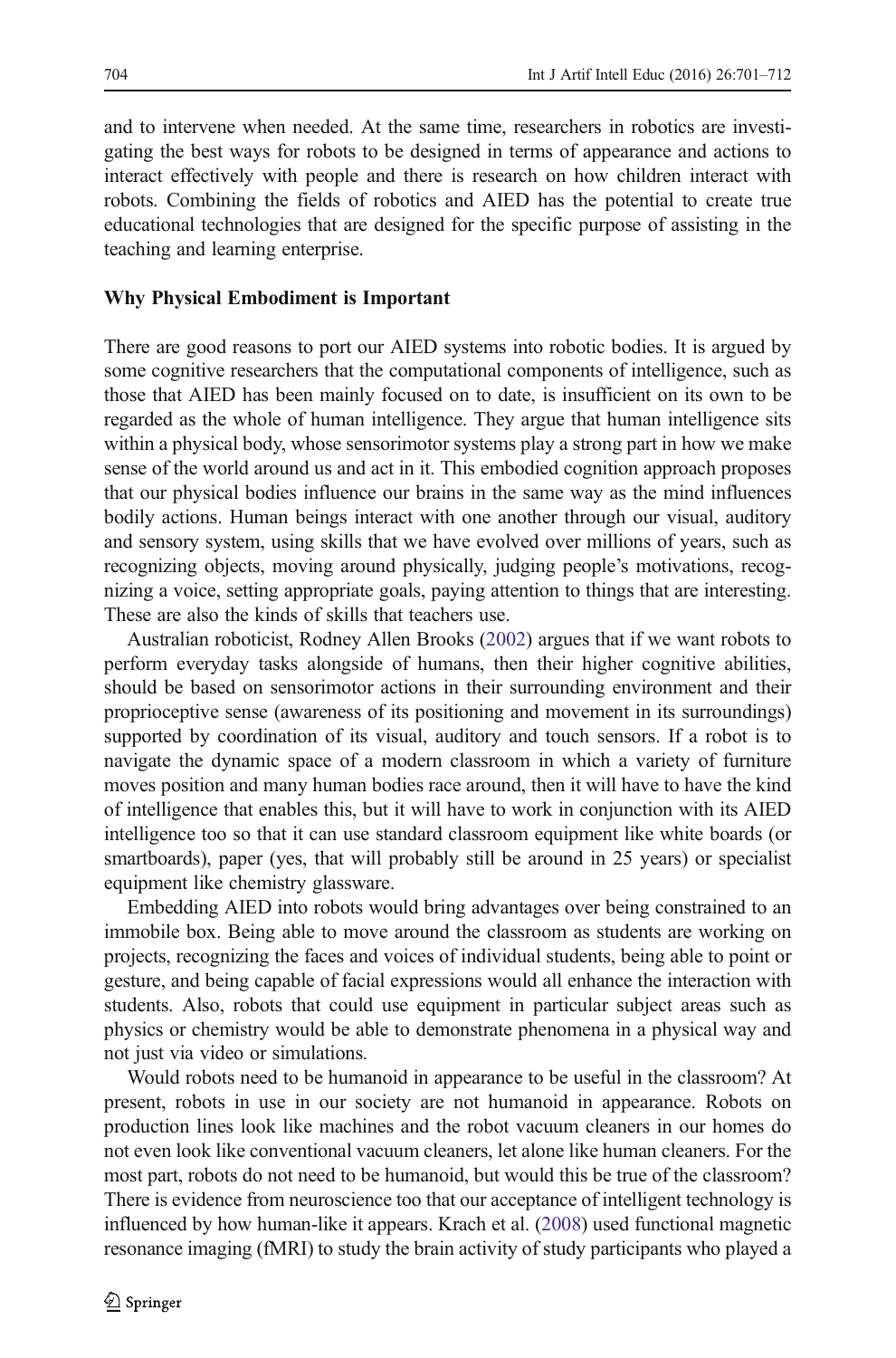and to intervene when needed. At the same time, researchers in robotics are investigating the best ways for robots to be designed in terms of appearance and actions to interact effectively with people and there is research on how children interact with robots. Combining the fields of robotics and AIED has the potential to create true educational technologies that are designed for the specific purpose of assisting in the teaching and learning enterprise.

#### Why Physical Embodiment is Important

There are good reasons to port our AIED systems into robotic bodies. It is argued by some cognitive researchers that the computational components of intelligence, such as those that AIED has been mainly focused on to date, is insufficient on its own to be regarded as the whole of human intelligence. They argue that human intelligence sits within a physical body, whose sensorimotor systems play a strong part in how we make sense of the world around us and act in it. This embodied cognition approach proposes that our physical bodies influence our brains in the same way as the mind influences bodily actions. Human beings interact with one another through our visual, auditory and sensory system, using skills that we have evolved over millions of years, such as recognizing objects, moving around physically, judging people's motivations, recognizing a voice, setting appropriate goals, paying attention to things that are interesting. These are also the kinds of skills that teachers use.

Australian roboticist, Rodney Allen Brooks [\(2002](#page-11-0)) argues that if we want robots to perform everyday tasks alongside of humans, then their higher cognitive abilities, should be based on sensorimotor actions in their surrounding environment and their proprioceptive sense (awareness of its positioning and movement in its surroundings) supported by coordination of its visual, auditory and touch sensors. If a robot is to navigate the dynamic space of a modern classroom in which a variety of furniture moves position and many human bodies race around, then it will have to have the kind of intelligence that enables this, but it will have to work in conjunction with its AIED intelligence too so that it can use standard classroom equipment like white boards (or smartboards), paper (yes, that will probably still be around in 25 years) or specialist equipment like chemistry glassware.

Embedding AIED into robots would bring advantages over being constrained to an immobile box. Being able to move around the classroom as students are working on projects, recognizing the faces and voices of individual students, being able to point or gesture, and being capable of facial expressions would all enhance the interaction with students. Also, robots that could use equipment in particular subject areas such as physics or chemistry would be able to demonstrate phenomena in a physical way and not just via video or simulations.

Would robots need to be humanoid in appearance to be useful in the classroom? At present, robots in use in our society are not humanoid in appearance. Robots on production lines look like machines and the robot vacuum cleaners in our homes do not even look like conventional vacuum cleaners, let alone like human cleaners. For the most part, robots do not need to be humanoid, but would this be true of the classroom? There is evidence from neuroscience too that our acceptance of intelligent technology is influenced by how human-like it appears. Krach et al. ([2008](#page-11-0)) used functional magnetic resonance imaging (fMRI) to study the brain activity of study participants who played a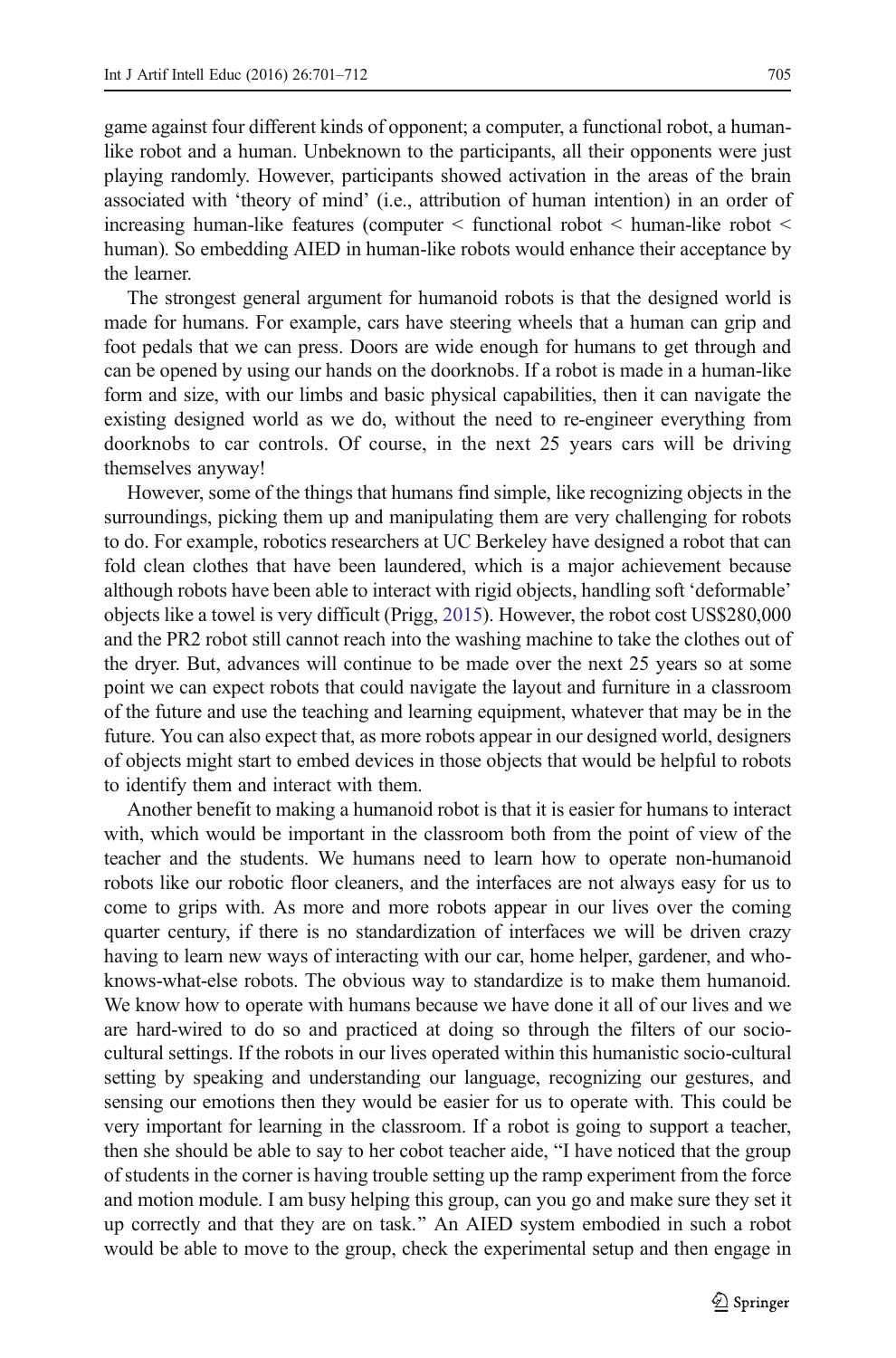game against four different kinds of opponent; a computer, a functional robot, a humanlike robot and a human. Unbeknown to the participants, all their opponents were just playing randomly. However, participants showed activation in the areas of the brain associated with 'theory of mind' (i.e., attribution of human intention) in an order of increasing human-like features (computer < functional robot < human-like robot < human). So embedding AIED in human-like robots would enhance their acceptance by the learner.

The strongest general argument for humanoid robots is that the designed world is made for humans. For example, cars have steering wheels that a human can grip and foot pedals that we can press. Doors are wide enough for humans to get through and can be opened by using our hands on the doorknobs. If a robot is made in a human-like form and size, with our limbs and basic physical capabilities, then it can navigate the existing designed world as we do, without the need to re-engineer everything from doorknobs to car controls. Of course, in the next 25 years cars will be driving themselves anyway!

However, some of the things that humans find simple, like recognizing objects in the surroundings, picking them up and manipulating them are very challenging for robots to do. For example, robotics researchers at UC Berkeley have designed a robot that can fold clean clothes that have been laundered, which is a major achievement because although robots have been able to interact with rigid objects, handling soft 'deformable' objects like a towel is very difficult (Prigg, [2015\)](#page-11-0). However, the robot cost US\$280,000 and the PR2 robot still cannot reach into the washing machine to take the clothes out of the dryer. But, advances will continue to be made over the next 25 years so at some point we can expect robots that could navigate the layout and furniture in a classroom of the future and use the teaching and learning equipment, whatever that may be in the future. You can also expect that, as more robots appear in our designed world, designers of objects might start to embed devices in those objects that would be helpful to robots to identify them and interact with them.

Another benefit to making a humanoid robot is that it is easier for humans to interact with, which would be important in the classroom both from the point of view of the teacher and the students. We humans need to learn how to operate non-humanoid robots like our robotic floor cleaners, and the interfaces are not always easy for us to come to grips with. As more and more robots appear in our lives over the coming quarter century, if there is no standardization of interfaces we will be driven crazy having to learn new ways of interacting with our car, home helper, gardener, and whoknows-what-else robots. The obvious way to standardize is to make them humanoid. We know how to operate with humans because we have done it all of our lives and we are hard-wired to do so and practiced at doing so through the filters of our sociocultural settings. If the robots in our lives operated within this humanistic socio-cultural setting by speaking and understanding our language, recognizing our gestures, and sensing our emotions then they would be easier for us to operate with. This could be very important for learning in the classroom. If a robot is going to support a teacher, then she should be able to say to her cobot teacher aide, "I have noticed that the group of students in the corner is having trouble setting up the ramp experiment from the force and motion module. I am busy helping this group, can you go and make sure they set it up correctly and that they are on task.^ An AIED system embodied in such a robot would be able to move to the group, check the experimental setup and then engage in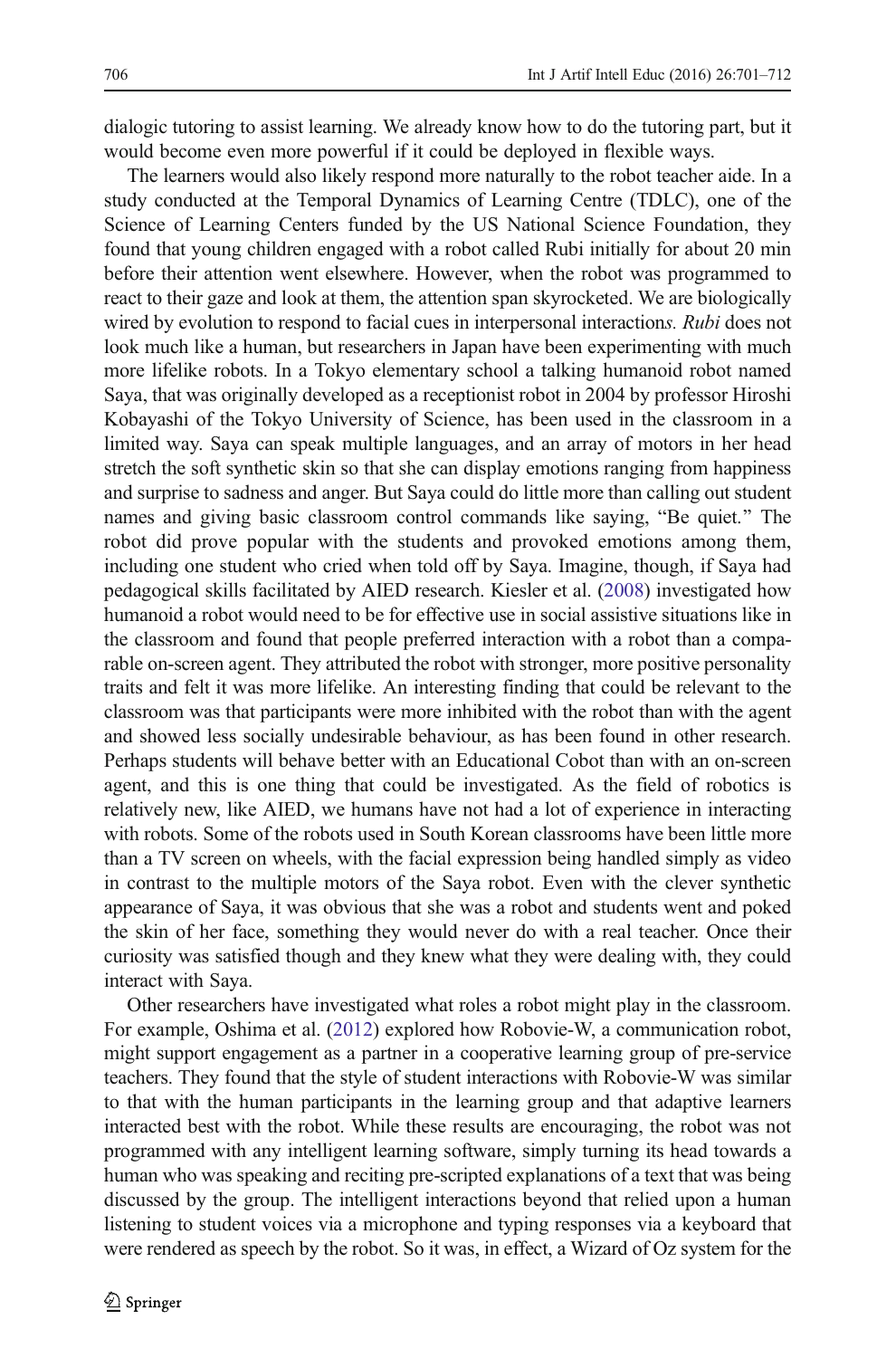dialogic tutoring to assist learning. We already know how to do the tutoring part, but it would become even more powerful if it could be deployed in flexible ways.

The learners would also likely respond more naturally to the robot teacher aide. In a study conducted at the Temporal Dynamics of Learning Centre (TDLC), one of the Science of Learning Centers funded by the US National Science Foundation, they found that young children engaged with a robot called Rubi initially for about 20 min before their attention went elsewhere. However, when the robot was programmed to react to their gaze and look at them, the attention span skyrocketed. We are biologically wired by evolution to respond to facial cues in interpersonal interactions. Rubi does not look much like a human, but researchers in Japan have been experimenting with much more lifelike robots. In a Tokyo elementary school a talking humanoid robot named Saya, that was originally developed as a receptionist robot in 2004 by professor Hiroshi Kobayashi of the Tokyo University of Science, has been used in the classroom in a limited way. Saya can speak multiple languages, and an array of motors in her head stretch the soft synthetic skin so that she can display emotions ranging from happiness and surprise to sadness and anger. But Saya could do little more than calling out student names and giving basic classroom control commands like saying, "Be quiet." The robot did prove popular with the students and provoked emotions among them, including one student who cried when told off by Saya. Imagine, though, if Saya had pedagogical skills facilitated by AIED research. Kiesler et al. [\(2008\)](#page-11-0) investigated how humanoid a robot would need to be for effective use in social assistive situations like in the classroom and found that people preferred interaction with a robot than a comparable on-screen agent. They attributed the robot with stronger, more positive personality traits and felt it was more lifelike. An interesting finding that could be relevant to the classroom was that participants were more inhibited with the robot than with the agent and showed less socially undesirable behaviour, as has been found in other research. Perhaps students will behave better with an Educational Cobot than with an on-screen agent, and this is one thing that could be investigated. As the field of robotics is relatively new, like AIED, we humans have not had a lot of experience in interacting with robots. Some of the robots used in South Korean classrooms have been little more than a TV screen on wheels, with the facial expression being handled simply as video in contrast to the multiple motors of the Saya robot. Even with the clever synthetic appearance of Saya, it was obvious that she was a robot and students went and poked the skin of her face, something they would never do with a real teacher. Once their curiosity was satisfied though and they knew what they were dealing with, they could interact with Saya.

Other researchers have investigated what roles a robot might play in the classroom. For example, Oshima et al. [\(2012\)](#page-11-0) explored how Robovie-W, a communication robot, might support engagement as a partner in a cooperative learning group of pre-service teachers. They found that the style of student interactions with Robovie-W was similar to that with the human participants in the learning group and that adaptive learners interacted best with the robot. While these results are encouraging, the robot was not programmed with any intelligent learning software, simply turning its head towards a human who was speaking and reciting pre-scripted explanations of a text that was being discussed by the group. The intelligent interactions beyond that relied upon a human listening to student voices via a microphone and typing responses via a keyboard that were rendered as speech by the robot. So it was, in effect, a Wizard of Oz system for the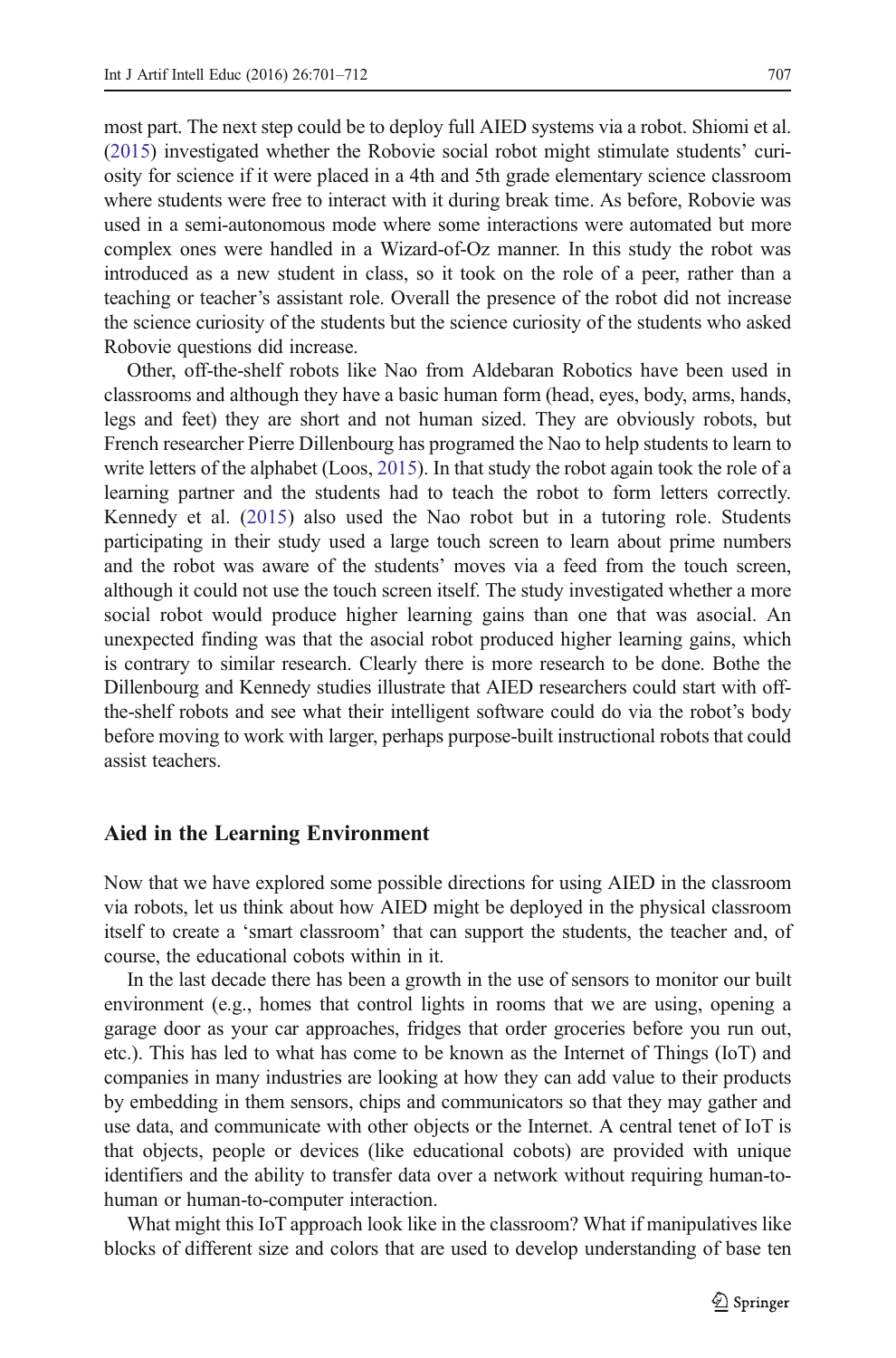most part. The next step could be to deploy full AIED systems via a robot. Shiomi et al. [\(2015\)](#page-11-0) investigated whether the Robovie social robot might stimulate students' curiosity for science if it were placed in a 4th and 5th grade elementary science classroom where students were free to interact with it during break time. As before, Robovie was used in a semi-autonomous mode where some interactions were automated but more complex ones were handled in a Wizard-of-Oz manner. In this study the robot was introduced as a new student in class, so it took on the role of a peer, rather than a teaching or teacher's assistant role. Overall the presence of the robot did not increase the science curiosity of the students but the science curiosity of the students who asked Robovie questions did increase.

Other, off-the-shelf robots like Nao from Aldebaran Robotics have been used in classrooms and although they have a basic human form (head, eyes, body, arms, hands, legs and feet) they are short and not human sized. They are obviously robots, but French researcher Pierre Dillenbourg has programed the Nao to help students to learn to write letters of the alphabet (Loos, [2015\)](#page-11-0). In that study the robot again took the role of a learning partner and the students had to teach the robot to form letters correctly. Kennedy et al. [\(2015](#page-11-0)) also used the Nao robot but in a tutoring role. Students participating in their study used a large touch screen to learn about prime numbers and the robot was aware of the students' moves via a feed from the touch screen, although it could not use the touch screen itself. The study investigated whether a more social robot would produce higher learning gains than one that was asocial. An unexpected finding was that the asocial robot produced higher learning gains, which is contrary to similar research. Clearly there is more research to be done. Bothe the Dillenbourg and Kennedy studies illustrate that AIED researchers could start with offthe-shelf robots and see what their intelligent software could do via the robot's body before moving to work with larger, perhaps purpose-built instructional robots that could assist teachers.

## Aied in the Learning Environment

Now that we have explored some possible directions for using AIED in the classroom via robots, let us think about how AIED might be deployed in the physical classroom itself to create a 'smart classroom' that can support the students, the teacher and, of course, the educational cobots within in it.

In the last decade there has been a growth in the use of sensors to monitor our built environment (e.g., homes that control lights in rooms that we are using, opening a garage door as your car approaches, fridges that order groceries before you run out, etc.). This has led to what has come to be known as the Internet of Things (IoT) and companies in many industries are looking at how they can add value to their products by embedding in them sensors, chips and communicators so that they may gather and use data, and communicate with other objects or the Internet. A central tenet of IoT is that objects, people or devices (like educational cobots) are provided with unique identifiers and the ability to transfer data over a network without requiring human-tohuman or human-to-computer interaction.

What might this IoT approach look like in the classroom? What if manipulatives like blocks of different size and colors that are used to develop understanding of base ten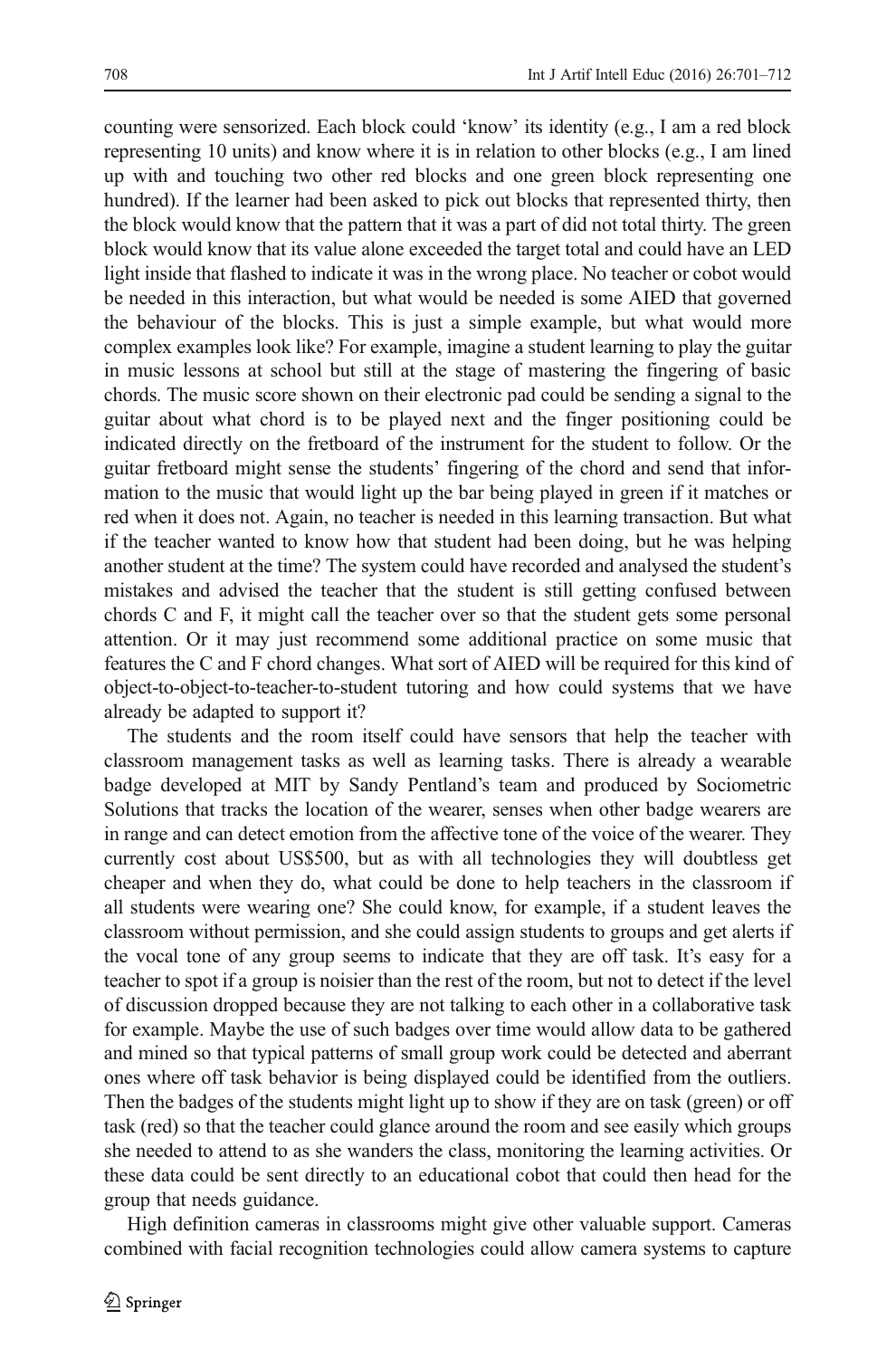counting were sensorized. Each block could 'know' its identity (e.g., I am a red block representing 10 units) and know where it is in relation to other blocks (e.g., I am lined up with and touching two other red blocks and one green block representing one hundred). If the learner had been asked to pick out blocks that represented thirty, then the block would know that the pattern that it was a part of did not total thirty. The green block would know that its value alone exceeded the target total and could have an LED light inside that flashed to indicate it was in the wrong place. No teacher or cobot would be needed in this interaction, but what would be needed is some AIED that governed the behaviour of the blocks. This is just a simple example, but what would more complex examples look like? For example, imagine a student learning to play the guitar in music lessons at school but still at the stage of mastering the fingering of basic chords. The music score shown on their electronic pad could be sending a signal to the guitar about what chord is to be played next and the finger positioning could be indicated directly on the fretboard of the instrument for the student to follow. Or the guitar fretboard might sense the students' fingering of the chord and send that information to the music that would light up the bar being played in green if it matches or red when it does not. Again, no teacher is needed in this learning transaction. But what if the teacher wanted to know how that student had been doing, but he was helping another student at the time? The system could have recorded and analysed the student's mistakes and advised the teacher that the student is still getting confused between chords C and F, it might call the teacher over so that the student gets some personal attention. Or it may just recommend some additional practice on some music that features the C and F chord changes. What sort of AIED will be required for this kind of object-to-object-to-teacher-to-student tutoring and how could systems that we have already be adapted to support it?

The students and the room itself could have sensors that help the teacher with classroom management tasks as well as learning tasks. There is already a wearable badge developed at MIT by Sandy Pentland's team and produced by Sociometric Solutions that tracks the location of the wearer, senses when other badge wearers are in range and can detect emotion from the affective tone of the voice of the wearer. They currently cost about US\$500, but as with all technologies they will doubtless get cheaper and when they do, what could be done to help teachers in the classroom if all students were wearing one? She could know, for example, if a student leaves the classroom without permission, and she could assign students to groups and get alerts if the vocal tone of any group seems to indicate that they are off task. It's easy for a teacher to spot if a group is noisier than the rest of the room, but not to detect if the level of discussion dropped because they are not talking to each other in a collaborative task for example. Maybe the use of such badges over time would allow data to be gathered and mined so that typical patterns of small group work could be detected and aberrant ones where off task behavior is being displayed could be identified from the outliers. Then the badges of the students might light up to show if they are on task (green) or off task (red) so that the teacher could glance around the room and see easily which groups she needed to attend to as she wanders the class, monitoring the learning activities. Or these data could be sent directly to an educational cobot that could then head for the group that needs guidance.

High definition cameras in classrooms might give other valuable support. Cameras combined with facial recognition technologies could allow camera systems to capture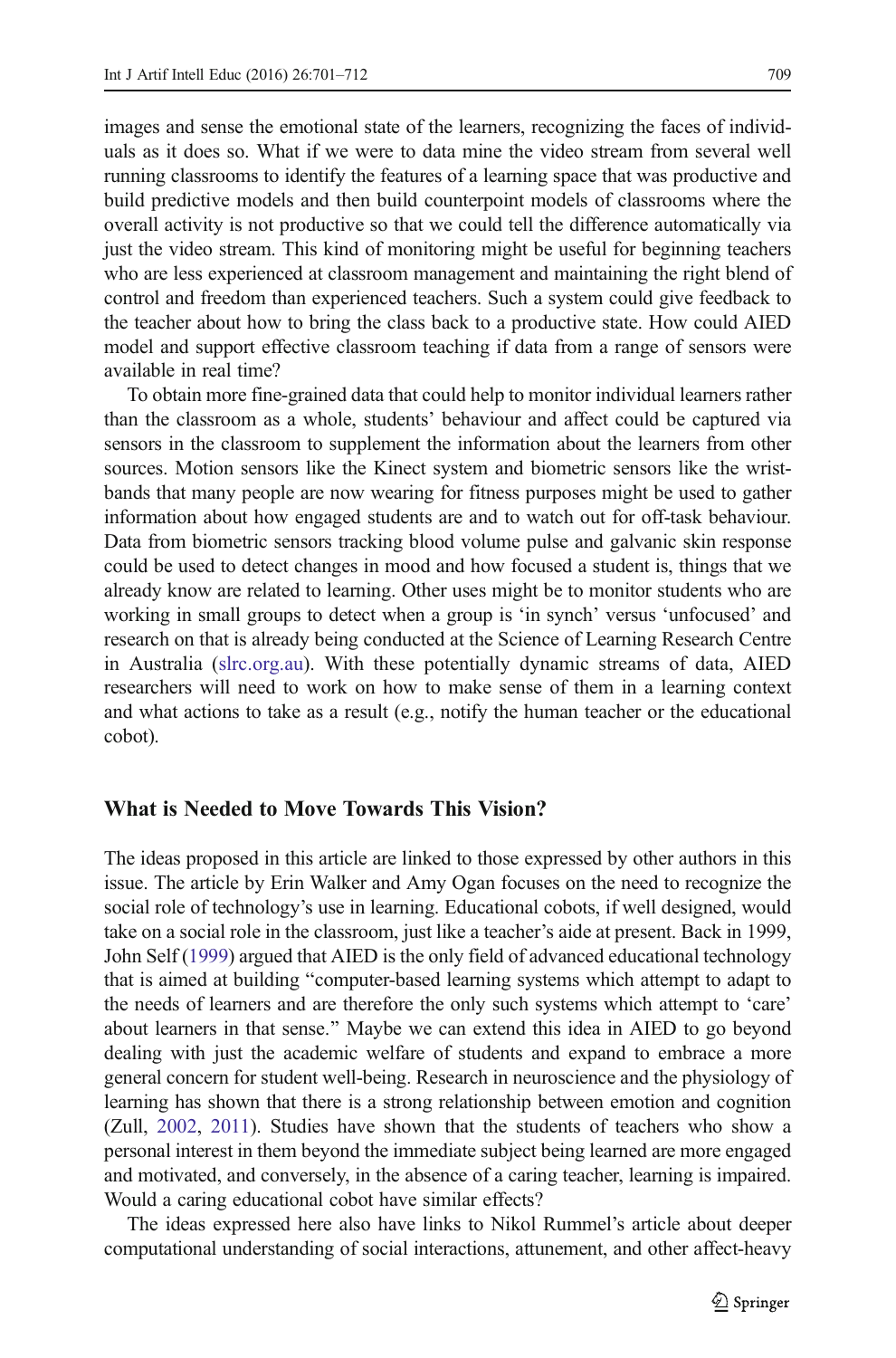available in real time?

images and sense the emotional state of the learners, recognizing the faces of individuals as it does so. What if we were to data mine the video stream from several well running classrooms to identify the features of a learning space that was productive and build predictive models and then build counterpoint models of classrooms where the overall activity is not productive so that we could tell the difference automatically via just the video stream. This kind of monitoring might be useful for beginning teachers who are less experienced at classroom management and maintaining the right blend of control and freedom than experienced teachers. Such a system could give feedback to the teacher about how to bring the class back to a productive state. How could AIED model and support effective classroom teaching if data from a range of sensors were

To obtain more fine-grained data that could help to monitor individual learners rather than the classroom as a whole, students' behaviour and affect could be captured via sensors in the classroom to supplement the information about the learners from other sources. Motion sensors like the Kinect system and biometric sensors like the wristbands that many people are now wearing for fitness purposes might be used to gather information about how engaged students are and to watch out for off-task behaviour. Data from biometric sensors tracking blood volume pulse and galvanic skin response could be used to detect changes in mood and how focused a student is, things that we already know are related to learning. Other uses might be to monitor students who are working in small groups to detect when a group is 'in synch' versus 'unfocused' and research on that is already being conducted at the Science of Learning Research Centre in Australia [\(slrc.org.au\)](http://slrc.org.au/). With these potentially dynamic streams of data, AIED researchers will need to work on how to make sense of them in a learning context and what actions to take as a result (e.g., notify the human teacher or the educational cobot).

### What is Needed to Move Towards This Vision?

The ideas proposed in this article are linked to those expressed by other authors in this issue. The article by Erin Walker and Amy Ogan focuses on the need to recognize the social role of technology's use in learning. Educational cobots, if well designed, would take on a social role in the classroom, just like a teacher's aide at present. Back in 1999, John Self [\(1999\)](#page-11-0) argued that AIED is the only field of advanced educational technology that is aimed at building "computer-based learning systems which attempt to adapt to the needs of learners and are therefore the only such systems which attempt to 'care' about learners in that sense." Maybe we can extend this idea in AIED to go beyond dealing with just the academic welfare of students and expand to embrace a more general concern for student well-being. Research in neuroscience and the physiology of learning has shown that there is a strong relationship between emotion and cognition (Zull, [2002,](#page-11-0) [2011\)](#page-11-0). Studies have shown that the students of teachers who show a personal interest in them beyond the immediate subject being learned are more engaged and motivated, and conversely, in the absence of a caring teacher, learning is impaired. Would a caring educational cobot have similar effects?

The ideas expressed here also have links to Nikol Rummel's article about deeper computational understanding of social interactions, attunement, and other affect-heavy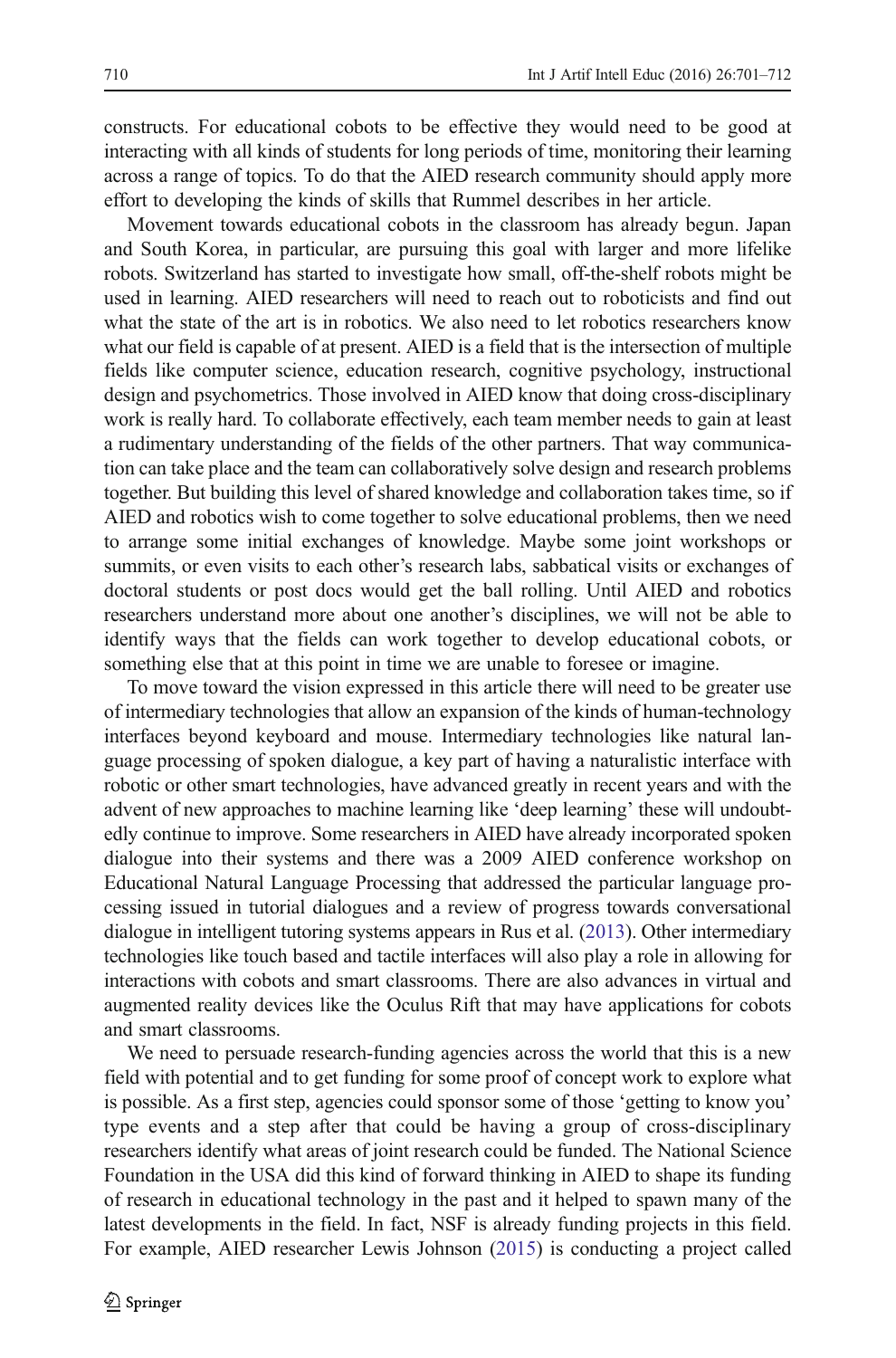constructs. For educational cobots to be effective they would need to be good at interacting with all kinds of students for long periods of time, monitoring their learning across a range of topics. To do that the AIED research community should apply more effort to developing the kinds of skills that Rummel describes in her article.

Movement towards educational cobots in the classroom has already begun. Japan and South Korea, in particular, are pursuing this goal with larger and more lifelike robots. Switzerland has started to investigate how small, off-the-shelf robots might be used in learning. AIED researchers will need to reach out to roboticists and find out what the state of the art is in robotics. We also need to let robotics researchers know what our field is capable of at present. AIED is a field that is the intersection of multiple fields like computer science, education research, cognitive psychology, instructional design and psychometrics. Those involved in AIED know that doing cross-disciplinary work is really hard. To collaborate effectively, each team member needs to gain at least a rudimentary understanding of the fields of the other partners. That way communication can take place and the team can collaboratively solve design and research problems together. But building this level of shared knowledge and collaboration takes time, so if AIED and robotics wish to come together to solve educational problems, then we need to arrange some initial exchanges of knowledge. Maybe some joint workshops or summits, or even visits to each other's research labs, sabbatical visits or exchanges of doctoral students or post docs would get the ball rolling. Until AIED and robotics researchers understand more about one another's disciplines, we will not be able to identify ways that the fields can work together to develop educational cobots, or something else that at this point in time we are unable to foresee or imagine.

To move toward the vision expressed in this article there will need to be greater use of intermediary technologies that allow an expansion of the kinds of human-technology interfaces beyond keyboard and mouse. Intermediary technologies like natural language processing of spoken dialogue, a key part of having a naturalistic interface with robotic or other smart technologies, have advanced greatly in recent years and with the advent of new approaches to machine learning like 'deep learning' these will undoubtedly continue to improve. Some researchers in AIED have already incorporated spoken dialogue into their systems and there was a 2009 AIED conference workshop on Educational Natural Language Processing that addressed the particular language processing issued in tutorial dialogues and a review of progress towards conversational dialogue in intelligent tutoring systems appears in Rus et al. [\(2013\)](#page-11-0). Other intermediary technologies like touch based and tactile interfaces will also play a role in allowing for interactions with cobots and smart classrooms. There are also advances in virtual and augmented reality devices like the Oculus Rift that may have applications for cobots and smart classrooms.

We need to persuade research-funding agencies across the world that this is a new field with potential and to get funding for some proof of concept work to explore what is possible. As a first step, agencies could sponsor some of those 'getting to know you' type events and a step after that could be having a group of cross-disciplinary researchers identify what areas of joint research could be funded. The National Science Foundation in the USA did this kind of forward thinking in AIED to shape its funding of research in educational technology in the past and it helped to spawn many of the latest developments in the field. In fact, NSF is already funding projects in this field. For example, AIED researcher Lewis Johnson [\(2015](#page-11-0)) is conducting a project called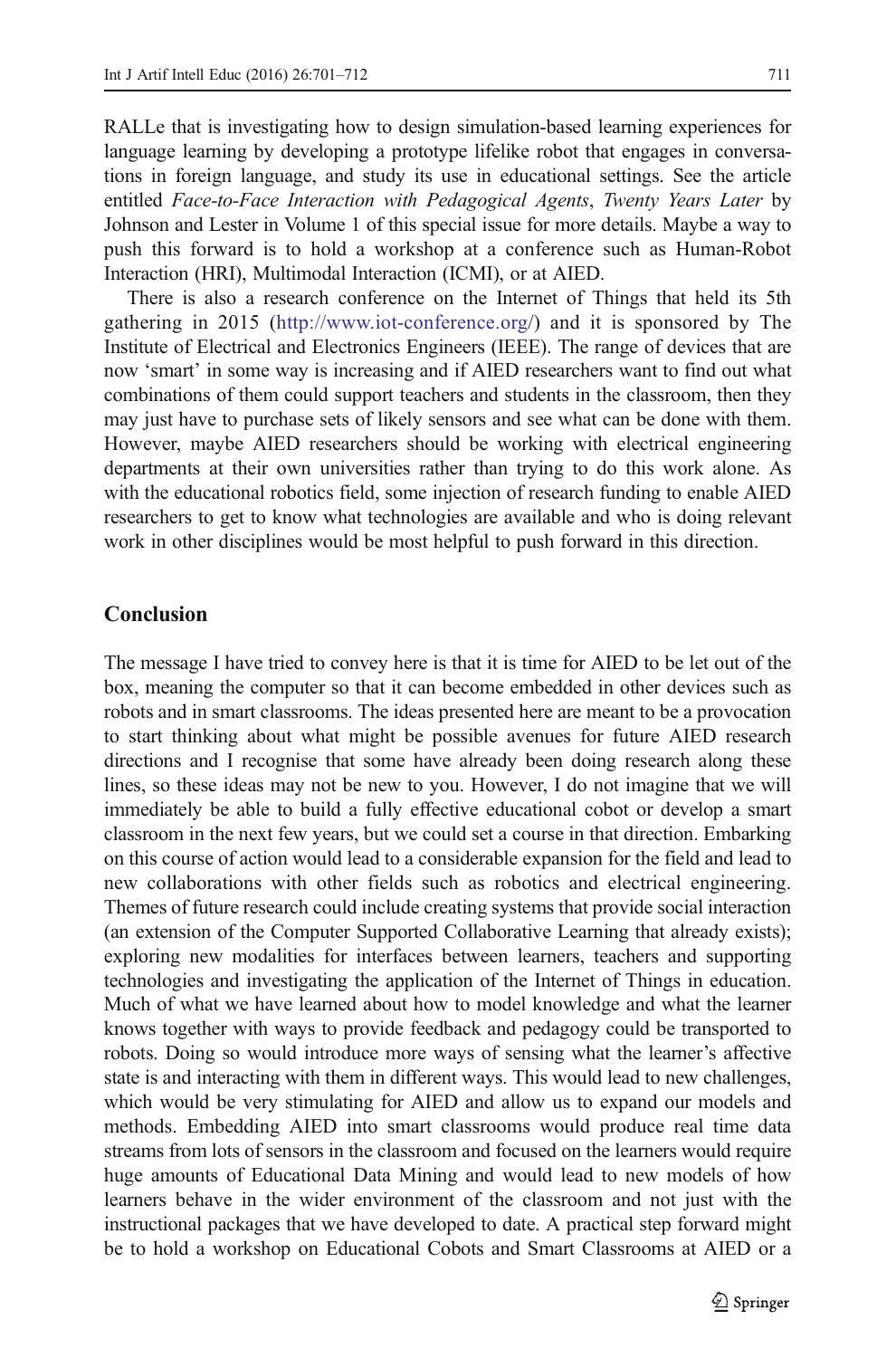RALLe that is investigating how to design simulation-based learning experiences for language learning by developing a prototype lifelike robot that engages in conversations in foreign language, and study its use in educational settings. See the article entitled Face-to-Face Interaction with Pedagogical Agents, Twenty Years Later by Johnson and Lester in Volume 1 of this special issue for more details. Maybe a way to push this forward is to hold a workshop at a conference such as Human-Robot Interaction (HRI), Multimodal Interaction (ICMI), or at AIED.

There is also a research conference on the Internet of Things that held its 5th gathering in 2015 ([http://www.iot-conference.org](http://www.iot-conference.org/)/) and it is sponsored by The Institute of Electrical and Electronics Engineers (IEEE). The range of devices that are now 'smart' in some way is increasing and if AIED researchers want to find out what combinations of them could support teachers and students in the classroom, then they may just have to purchase sets of likely sensors and see what can be done with them. However, maybe AIED researchers should be working with electrical engineering departments at their own universities rather than trying to do this work alone. As with the educational robotics field, some injection of research funding to enable AIED researchers to get to know what technologies are available and who is doing relevant work in other disciplines would be most helpful to push forward in this direction.

## Conclusion

The message I have tried to convey here is that it is time for AIED to be let out of the box, meaning the computer so that it can become embedded in other devices such as robots and in smart classrooms. The ideas presented here are meant to be a provocation to start thinking about what might be possible avenues for future AIED research directions and I recognise that some have already been doing research along these lines, so these ideas may not be new to you. However, I do not imagine that we will immediately be able to build a fully effective educational cobot or develop a smart classroom in the next few years, but we could set a course in that direction. Embarking on this course of action would lead to a considerable expansion for the field and lead to new collaborations with other fields such as robotics and electrical engineering. Themes of future research could include creating systems that provide social interaction (an extension of the Computer Supported Collaborative Learning that already exists); exploring new modalities for interfaces between learners, teachers and supporting technologies and investigating the application of the Internet of Things in education. Much of what we have learned about how to model knowledge and what the learner knows together with ways to provide feedback and pedagogy could be transported to robots. Doing so would introduce more ways of sensing what the learner's affective state is and interacting with them in different ways. This would lead to new challenges, which would be very stimulating for AIED and allow us to expand our models and methods. Embedding AIED into smart classrooms would produce real time data streams from lots of sensors in the classroom and focused on the learners would require huge amounts of Educational Data Mining and would lead to new models of how learners behave in the wider environment of the classroom and not just with the instructional packages that we have developed to date. A practical step forward might be to hold a workshop on Educational Cobots and Smart Classrooms at AIED or a